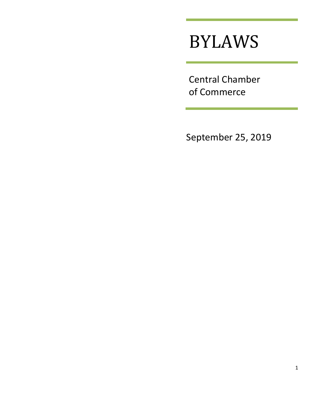# BYLAWS

Central Chamber of Commerce

September 25, 2019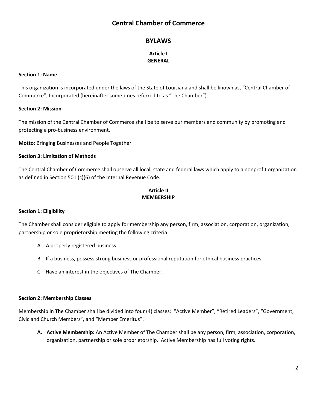# **Central Chamber of Commerce**

# **BYLAWS**

# **Article I GENERAL**

#### **Section 1: Name**

This organization is incorporated under the laws of the State of Louisiana and shall be known as, "Central Chamber of Commerce", Incorporated (hereinafter sometimes referred to as "The Chamber").

#### **Section 2: Mission**

The mission of the Central Chamber of Commerce shall be to serve our members and community by promoting and protecting a pro-business environment.

**Motto:** Bringing Businesses and People Together

#### **Section 3: Limitation of Methods**

The Central Chamber of Commerce shall observe all local, state and federal laws which apply to a nonprofit organization as defined in Section 501 (c)(6) of the Internal Revenue Code.

# **Article II MEMBERSHIP**

#### **Section 1: Eligibility**

The Chamber shall consider eligible to apply for membership any person, firm, association, corporation, organization, partnership or sole proprietorship meeting the following criteria:

- A. A properly registered business.
- B. If a business, possess strong business or professional reputation for ethical business practices.
- C. Have an interest in the objectives of The Chamber.

#### **Section 2: Membership Classes**

Membership in The Chamber shall be divided into four (4) classes: "Active Member", "Retired Leaders", "Government, Civic and Church Members", and "Member Emeritus".

**A. Active Membership:** An Active Member of The Chamber shall be any person, firm, association, corporation, organization, partnership or sole proprietorship. Active Membership has full voting rights.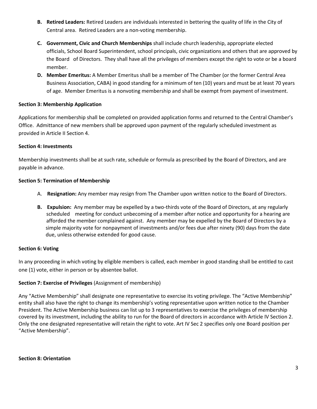- **B. Retired Leaders:** Retired Leaders are individuals interested in bettering the quality of life in the City of Central area. Retired Leaders are a non-voting membership.
- **C. Government, Civic and Church Memberships** shall include church leadership, appropriate elected officials, School Board Superintendent, school principals, civic organizations and others that are approved by the Board of Directors. They shall have all the privileges of members except the right to vote or be a board member.
- **D. Member Emeritus:** A Member Emeritus shall be a member of The Chamber (or the former Central Area Business Association, CABA) in good standing for a minimum of ten (10) years and must be at least 70 years of age. Member Emeritus is a nonvoting membership and shall be exempt from payment of investment.

# **Section 3: Membership Application**

Applications for membership shall be completed on provided application forms and returned to the Central Chamber's Office. Admittance of new members shall be approved upon payment of the regularly scheduled investment as provided in Article II Section 4.

# **Section 4: Investments**

Membership investments shall be at such rate, schedule or formula as prescribed by the Board of Directors, and are payable in advance.

# **Section 5: Termination of Membership**

- A. **Resignation:** Any member may resign from The Chamber upon written notice to the Board of Directors.
- **B. Expulsion:** Any member may be expelled by a two-thirds vote of the Board of Directors, at any regularly scheduled meeting for conduct unbecoming of a member after notice and opportunity for a hearing are afforded the member complained against. Any member may be expelled by the Board of Directors by a simple majority vote for nonpayment of investments and/or fees due after ninety (90) days from the date due, unless otherwise extended for good cause.

# **Section 6: Voting**

In any proceeding in which voting by eligible members is called, each member in good standing shall be entitled to cast one (1) vote, either in person or by absentee ballot.

# **Section 7: Exercise of Privileges** (Assignment of membership)

Any "Active Membership" shall designate one representative to exercise its voting privilege. The "Active Membership" entity shall also have the right to change its membership's voting representative upon written notice to the Chamber President. The Active Membership business can list up to 3 representatives to exercise the privileges of membership covered by its investment, including the ability to run for the Board of directors in accordance with Article IV Section 2. Only the one designated representative will retain the right to vote. Art IV Sec 2 specifies only one Board position per "Active Membership".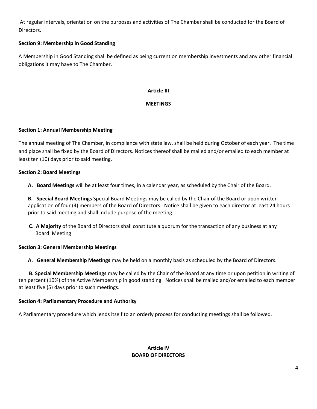At regular intervals, orientation on the purposes and activities of The Chamber shall be conducted for the Board of Directors.

# **Section 9: Membership in Good Standing**

A Membership in Good Standing shall be defined as being current on membership investments and any other financial obligations it may have to The Chamber.

# **Article III**

# **MEETINGS**

#### **Section 1: Annual Membership Meeting**

The annual meeting of The Chamber, in compliance with state law, shall be held during October of each year. The time and place shall be fixed by the Board of Directors. Notices thereof shall be mailed and/or emailed to each member at least ten (10) days prior to said meeting.

#### **Section 2: Board Meetings**

**A. Board Meetings** will be at least four times, in a calendar year, as scheduled by the Chair of the Board.

**B. Special Board Meetings** Special Board Meetings may be called by the Chair of the Board or upon written application of four (4) members of the Board of Directors. Notice shall be given to each director at least 24 hours prior to said meeting and shall include purpose of the meeting.

 **C**. **A Majority** of the Board of Directors shall constitute a quorum for the transaction of any business at any Board Meeting

#### **Section 3: General Membership Meetings**

**A. General Membership Meetings** may be held on a monthly basis as scheduled by the Board of Directors.

 **B. Special Membership Meetings** may be called by the Chair of the Board at any time or upon petition in writing of ten percent (10%) of the Active Membership in good standing. Notices shall be mailed and/or emailed to each member at least five (5) days prior to such meetings.

#### **Section 4: Parliamentary Procedure and Authority**

A Parliamentary procedure which lends itself to an orderly process for conducting meetings shall be followed.

# **Article IV BOARD OF DIRECTORS**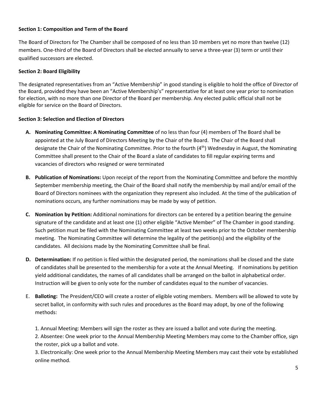# **Section 1: Composition and Term of the Board**

The Board of Directors for The Chamber shall be composed of no less than 10 members yet no more than twelve (12) members. One-third of the Board of Directors shall be elected annually to serve a three-year (3) term or until their qualified successors are elected.

# **Section 2: Board Eligibility**

The designated representatives from an "Active Membership" in good standing is eligible to hold the office of Director of the Board, provided they have been an "Active Membership's" representative for at least one year prior to nomination for election, with no more than one Director of the Board per membership. Any elected public official shall not be eligible for service on the Board of Directors.

# **Section 3: Selection and Election of Directors**

- **A. Nominating Committee: A Nominating Committee** of no less than four (4) members of The Board shall be appointed at the July Board of Directors Meeting by the Chair of the Board. The Chair of the Board shall designate the Chair of the Nominating Committee. Prior to the fourth (4<sup>th</sup>) Wednesday in August, the Nominating Committee shall present to the Chair of the Board a slate of candidates to fill regular expiring terms and vacancies of directors who resigned or were terminated
- **B. Publication of Nominations:** Upon receipt of the report from the Nominating Committee and before the monthly September membership meeting, the Chair of the Board shall notify the membership by mail and/or email of the Board of Directors nominees with the organization they represent also included. At the time of the publication of nominations occurs, any further nominations may be made by way of petition.
- **C. Nomination by Petition:** Additional nominations for directors can be entered by a petition bearing the genuine signature of the candidate and at least one (1) other eligible "Active Member" of The Chamber in good standing. Such petition must be filed with the Nominating Committee at least two weeks prior to the October membership meeting. The Nominating Committee will determine the legality of the petition(s) and the eligibility of the candidates. All decisions made by the Nominating Committee shall be final.
- **D. Determination:** If no petition is filed within the designated period, the nominations shall be closed and the slate of candidates shall be presented to the membership for a vote at the Annual Meeting.If nominations by petition yield additional candidates, the names of all candidates shall be arranged on the ballot in alphabetical order. Instruction will be given to only vote for the number of candidates equal to the number of vacancies.
- E. **Balloting:** The President/CEO will create a roster of eligible voting members. Members will be allowed to vote by secret ballot, in conformity with such rules and procedures as the Board may adopt, by one of the following methods:
	- 1. Annual Meeting: Members will sign the roster as they are issued a ballot and vote during the meeting.

2. Absentee: One week prior to the Annual Membership Meeting Members may come to the Chamber office, sign the roster, pick up a ballot and vote.

3. Electronically: One week prior to the Annual Membership Meeting Members may cast their vote by established online method.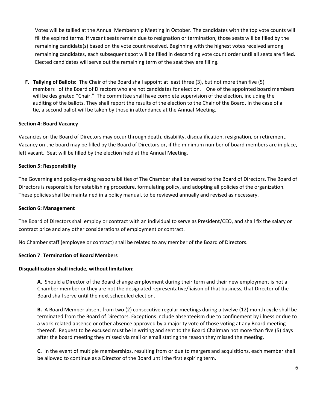Votes will be tallied at the Annual Membership Meeting in October. The candidates with the top vote counts will fill the expired terms. If vacant seats remain due to resignation or termination, those seats will be filled by the remaining candidate(s) based on the vote count received. Beginning with the highest votes received among remaining candidates, each subsequent spot will be filled in descending vote count order until all seats are filled. Elected candidates will serve out the remaining term of the seat they are filling.

 **F. Tallying of Ballots:** The Chair of the Board shall appoint at least three (3), but not more than five (5) members of the Board of Directors who are not candidates for election. One of the appointed board members will be designated "Chair." The committee shall have complete supervision of the election, including the auditing of the ballots. They shall report the results of the election to the Chair of the Board. In the case of a tie, a second ballot will be taken by those in attendance at the Annual Meeting.

#### **Section 4: Board Vacancy**

Vacancies on the Board of Directors may occur through death, disability, disqualification, resignation, or retirement. Vacancy on the board may be filled by the Board of Directors or, if the minimum number of board members are in place, left vacant. Seat will be filled by the election held at the Annual Meeting.

# **Section 5: Responsibility**

The Governing and policy-making responsibilities of The Chamber shall be vested to the Board of Directors. The Board of Directors is responsible for establishing procedure, formulating policy, and adopting all policies of the organization. These policies shall be maintained in a policy manual, to be reviewed annually and revised as necessary.

#### **Section 6: Management**

The Board of Directors shall employ or contract with an individual to serve as President/CEO, and shall fix the salary or contract price and any other considerations of employment or contract.

No Chamber staff (employee or contract) shall be related to any member of the Board of Directors.

#### **Section 7**: **Termination of Board Members**

#### **Disqualification shall include, without limitation:**

**A.** Should a Director of the Board change employment during their term and their new employment is not a Chamber member or they are not the designated representative/liaison of that business, that Director of the Board shall serve until the next scheduled election.

**B.** A Board Member absent from two (2) consecutive regular meetings during a twelve (12) month cycle shall be terminated from the Board of Directors. Exceptions include absenteeism due to confinement by illness or due to a work-related absence or other absence approved by a majority vote of those voting at any Board meeting thereof. Request to be excused must be in writing and sent to the Board Chairman not more than five (5) days after the board meeting they missed via mail or email stating the reason they missed the meeting.

**C.** In the event of multiple memberships, resulting from or due to mergers and acquisitions, each member shall be allowed to continue as a Director of the Board until the first expiring term.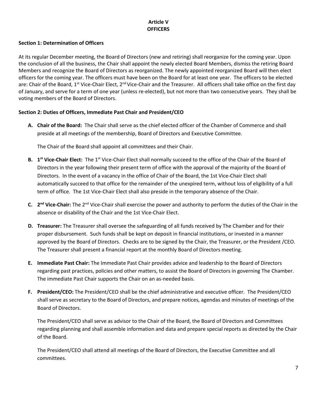# **Article V OFFICERS**

# **Section 1: Determination of Officers**

At its regular December meeting, the Board of Directors (new and retiring) shall reorganize for the coming year. Upon the conclusion of all the business, the Chair shall appoint the newly elected Board Members, dismiss the retiring Board Members and recognize the Board of Directors as reorganized. The newly appointed reorganized Board will then elect officers for the coming year. The officers must have been on the Board for at least one year. The officers to be elected are: Chair of the Board, 1<sup>st</sup> Vice-Chair Elect, 2<sup>nd</sup> Vice-Chair and the Treasurer. All officers shall take office on the first day of January, and serve for a term of one year (unless re-elected), but not more than two consecutive years. They shall be voting members of the Board of Directors.

# **Section 2: Duties of Officers, Immediate Past Chair and President/CEO**

**A. Chair of the Board:** The Chair shall serve as the chief elected officer of the Chamber of Commerce and shall preside at all meetings of the membership, Board of Directors and Executive Committee.

The Chair of the Board shall appoint all committees and their Chair.

- **B.** 1<sup>st</sup> Vice-Chair Elect: The 1<sup>st</sup> Vice-Chair Elect shall normally succeed to the office of the Chair of the Board of Directors in the year following their present term of office with the approval of the majority of the Board of Directors. In the event of a vacancy in the office of Chair of the Board, the 1st Vice-Chair Elect shall automatically succeed to that office for the remainder of the unexpired term, without loss of eligibility of a full term of office. The 1st Vice-Chair Elect shall also preside in the temporary absence of the Chair.
- **C. 2 nd Vice-Chair:** The 2nd Vice-Chair shall exercise the power and authority to perform the duties of the Chair in the absence or disability of the Chair and the 1st Vice-Chair Elect.
- **D. Treasurer:** The Treasurer shall oversee the safeguarding of all funds received by The Chamber and for their proper disbursement. Such funds shall be kept on deposit in financial institutions, or invested in a manner approved by the Board of Directors. Checks are to be signed by the Chair, the Treasurer, or the President /CEO. The Treasurer shall present a financial report at the monthly Board of Directors meeting.
- **E. Immediate Past Chair:** The Immediate Past Chair provides advice and leadership to the Board of Directors regarding past practices, policies and other matters, to assist the Board of Directors in governing The Chamber. The immediate Past Chair supports the Chair on an as-needed basis.
- **F. President/CEO:** The President/CEO shall be the chief administrative and executive officer. The President/CEO shall serve as secretary to the Board of Directors, and prepare notices, agendas and minutes of meetings of the Board of Directors.

The President/CEO shall serve as advisor to the Chair of the Board, the Board of Directors and Committees regarding planning and shall assemble information and data and prepare special reports as directed by the Chair of the Board.

The President/CEO shall attend all meetings of the Board of Directors, the Executive Committee and all committees.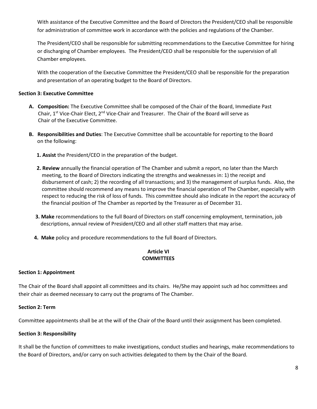With assistance of the Executive Committee and the Board of Directors the President/CEO shall be responsible for administration of committee work in accordance with the policies and regulations of the Chamber.

The President/CEO shall be responsible for submitting recommendations to the Executive Committee for hiring or discharging of Chamber employees. The President/CEO shall be responsible for the supervision of all Chamber employees.

With the cooperation of the Executive Committee the President/CEO shall be responsible for the preparation and presentation of an operating budget to the Board of Directors.

### **Section 3: Executive Committee**

- **A. Composition:** The Executive Committee shall be composed of the Chair of the Board, Immediate Past Chair, 1<sup>st</sup> Vice-Chair Elect, 2<sup>nd</sup> Vice-Chair and Treasurer. The Chair of the Board will serve as Chair of the Executive Committee.
- **B. Responsibilities and Duties**: The Executive Committee shall be accountable for reporting to the Board on the following:
	- **1. Assist** the President/CEO in the preparation of the budget.
	- **2. Review** annually the financial operation of The Chamber and submit a report, no later than the March meeting, to the Board of Directors indicating the strengths and weaknesses in: 1) the receipt and disbursement of cash; 2) the recording of all transactions; and 3) the management of surplus funds. Also, the committee should recommend any means to improve the financial operation of The Chamber, especially with respect to reducing the risk of loss of funds. This committee should also indicate in the report the accuracy of the financial position of The Chamber as reported by the Treasurer as of December 31.
	- **3. Make** recommendations to the full Board of Directors on staff concerning employment, termination, job descriptions, annual review of President/CEO and all other staff matters that may arise.
	- **4. Make** policy and procedure recommendations to the full Board of Directors.

# **Article VI COMMITTEES**

#### **Section 1: Appointment**

The Chair of the Board shall appoint all committees and its chairs. He/She may appoint such ad hoc committees and their chair as deemed necessary to carry out the programs of The Chamber.

#### **Section 2: Term**

Committee appointments shall be at the will of the Chair of the Board until their assignment has been completed.

#### **Section 3: Responsibility**

It shall be the function of committees to make investigations, conduct studies and hearings, make recommendations to the Board of Directors, and/or carry on such activities delegated to them by the Chair of the Board.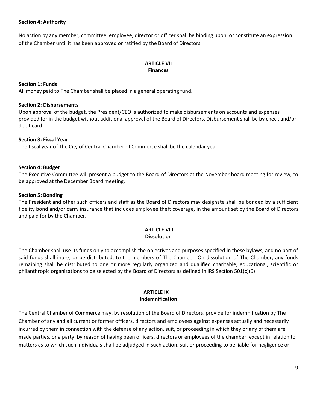#### **Section 4: Authority**

No action by any member, committee, employee, director or officer shall be binding upon, or constitute an expression of the Chamber until it has been approved or ratified by the Board of Directors.

# **ARTICLE VII Finances**

# **Section 1: Funds**

All money paid to The Chamber shall be placed in a general operating fund.

#### **Section 2: Disbursements**

Upon approval of the budget, the President/CEO is authorized to make disbursements on accounts and expenses provided for in the budget without additional approval of the Board of Directors. Disbursement shall be by check and/or debit card.

# **Section 3: Fiscal Year**

The fiscal year of The City of Central Chamber of Commerce shall be the calendar year.

#### **Section 4: Budget**

The Executive Committee will present a budget to the Board of Directors at the November board meeting for review, to be approved at the December Board meeting.

#### **Section 5: Bonding**

The President and other such officers and staff as the Board of Directors may designate shall be bonded by a sufficient fidelity bond and/or carry insurance that includes employee theft coverage, in the amount set by the Board of Directors and paid for by the Chamber.

#### **ARTICLE VIII Dissolution**

The Chamber shall use its funds only to accomplish the objectives and purposes specified in these bylaws, and no part of said funds shall inure, or be distributed, to the members of The Chamber. On dissolution of The Chamber, any funds remaining shall be distributed to one or more regularly organized and qualified charitable, educational, scientific or philanthropic organizations to be selected by the Board of Directors as defined in IRS Section 501(c)(6).

#### **ARTICLE IX Indemnification**

The Central Chamber of Commerce may, by resolution of the Board of Directors, provide for indemnification by The Chamber of any and all current or former officers, directors and employees against expenses actually and necessarily incurred by them in connection with the defense of any action, suit, or proceeding in which they or any of them are made parties, or a party, by reason of having been officers, directors or employees of the chamber, except in relation to matters as to which such individuals shall be adjudged in such action, suit or proceeding to be liable for negligence or